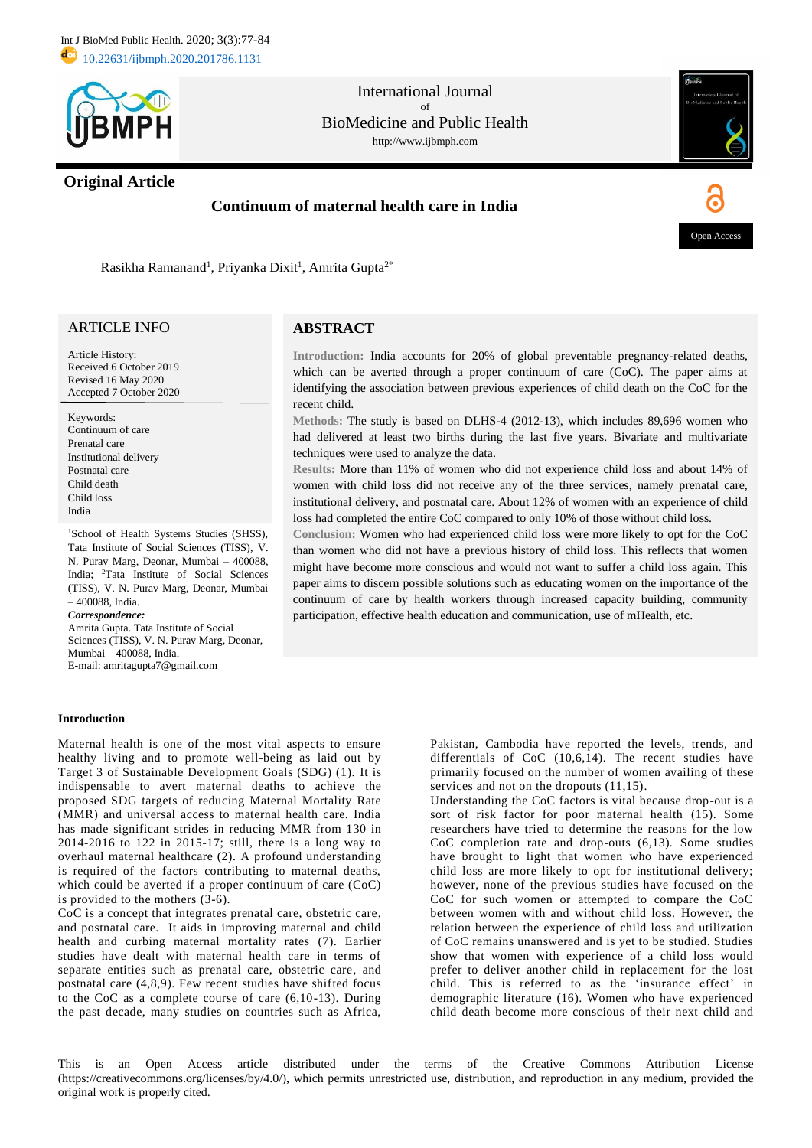

## **Original Article**

## International Journal of BioMedicine and Public Health http://www.ijbmph.com

# **Continuum of maternal health care in India**

**ABSTRACT**



Open Acces

Rasikha Ramanand<sup>1</sup>, Priyanka Dixit<sup>1</sup>, Amrita Gupta<sup>2\*</sup>

## ARTICLE INFO

Article History: Received 6 October 2019 Revised 16 May 2020 Accepted 7 October 2020

Keywords: Continuum of care Prenatal care Institutional delivery Postnatal care Child death Child loss India

<sup>1</sup>School of Health Systems Studies (SHSS), Tata Institute of Social Sciences (TISS), V. N. Purav Marg, Deonar, Mumbai – 400088, India; <sup>2</sup>Tata Institute of Social Sciences (TISS), V. N. Purav Marg, Deonar, Mumbai – 400088, India.

*Correspondence:* Amrita Gupta. Tata Institute of Social Sciences (TISS), V. N. Purav Marg, Deonar, Mumbai – 400088, India.

E-mail: amritagupta7@gmail.com

## **Introduction**

## Maternal health is one of the most vital aspects to ensure healthy living and to promote well-being as laid out by Target 3 of Sustainable Development Goals (SDG) (1). It is indispensable to avert maternal deaths to achieve the proposed SDG targets of reducing Maternal Mortality Rate (MMR) and universal access to maternal health care. India has made significant strides in reducing MMR from 130 in 2014-2016 to 122 in 2015-17; still, there is a long way to overhaul maternal healthcare (2). A profound understanding is required of the factors contributing to maternal deaths, which could be averted if a proper continuum of care (CoC) is provided to the mothers (3-6).

CoC is a concept that integrates prenatal care, obstetric care, and postnatal care. It aids in improving maternal and child health and curbing maternal mortality rates (7). Earlier studies have dealt with maternal health care in terms of separate entities such as prenatal care, obstetric care, and postnatal care (4,8,9). Few recent studies have shifted focus to the CoC as a complete course of care (6,10-13). During the past decade, many studies on countries such as Africa,

**Introduction:** India accounts for 20% of global preventable pregnancy-related deaths, which can be averted through a proper continuum of care (CoC). The paper aims at identifying the association between previous experiences of child death on the CoC for the recent child.

**Methods:** The study is based on DLHS-4 (2012-13), which includes 89,696 women who had delivered at least two births during the last five years. Bivariate and multivariate techniques were used to analyze the data.

**Results:** More than 11% of women who did not experience child loss and about 14% of women with child loss did not receive any of the three services, namely prenatal care, institutional delivery, and postnatal care. About 12% of women with an experience of child loss had completed the entire CoC compared to only 10% of those without child loss.

**Conclusion:** Women who had experienced child loss were more likely to opt for the CoC than women who did not have a previous history of child loss. This reflects that women might have become more conscious and would not want to suffer a child loss again. This paper aims to discern possible solutions such as educating women on the importance of the continuum of care by health workers through increased capacity building, community participation, effective health education and communication, use of mHealth, etc.

> Pakistan, Cambodia have reported the levels, trends, and differentials of CoC (10,6,14). The recent studies have primarily focused on the number of women availing of these services and not on the dropouts  $(11,15)$ .

> Understanding the CoC factors is vital because drop-out is a sort of risk factor for poor maternal health (15). Some researchers have tried to determine the reasons for the low CoC completion rate and drop-outs (6,13)*.* Some studies have brought to light that women who have experienced child loss are more likely to opt for institutional delivery; however, none of the previous studies have focused on the CoC for such women or attempted to compare the CoC between women with and without child loss. However, the relation between the experience of child loss and utilization of CoC remains unanswered and is yet to be studied. Studies show that women with experience of a child loss would prefer to deliver another child in replacement for the lost child. This is referred to as the 'insurance effect' in demographic literature (16). Women who have experienced child death become more conscious of their next child and

This is an Open Access article distributed under the terms of the Creative Commons Attribution License (https://creativecommons.org/licenses/by/4.0/), which permits unrestricted use, distribution, and reproduction in any medium, provided the original work is properly cited.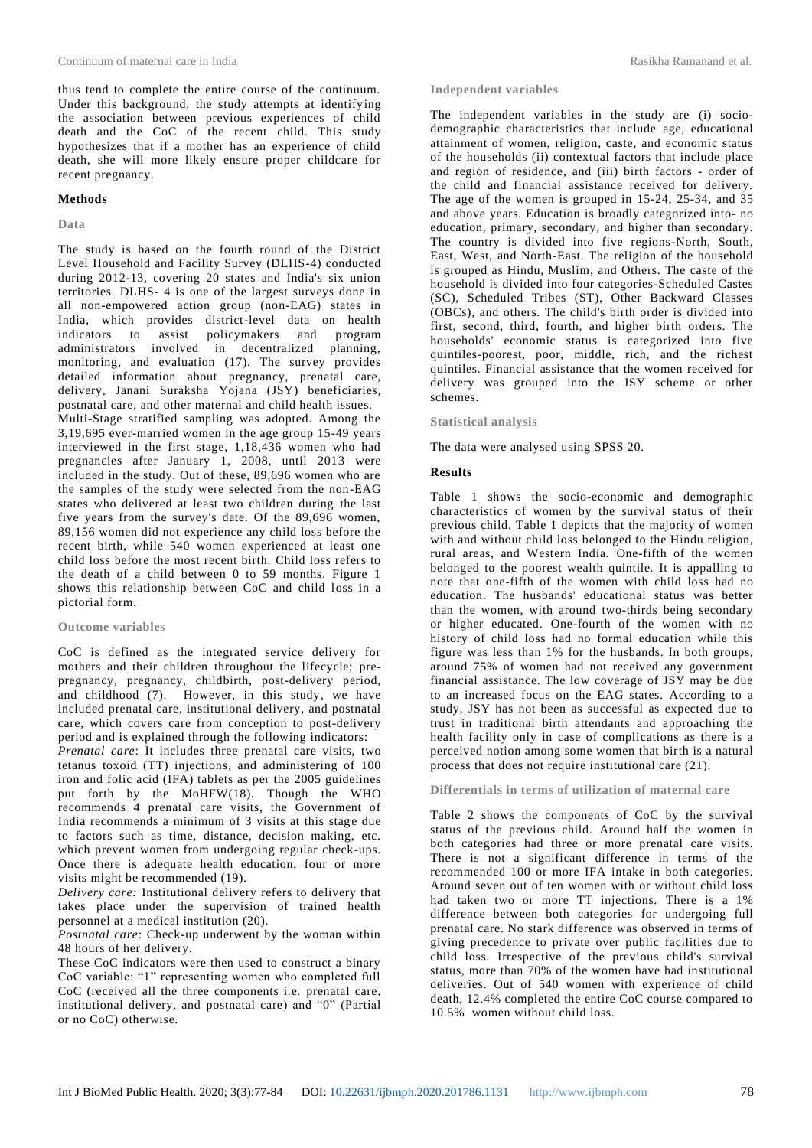thus tend to complete the entire course of the continuum. Under this background, the study attempts at identifying the association between previous experiences of child death and the CoC of the recent child. This study hypothesizes that if a mother has an experience of child death, she will more likely ensure proper childcare for recent pregnancy.

## **Methods**

## **Data**

The study is based on the fourth round of the District Level Household and Facility Survey (DLHS-4) conducted during 2012-13, covering 20 states and India's six union territories. DLHS- 4 is one of the largest surveys done in all non-empowered action group (non-EAG) states in India, which provides district-level data on health indicators to assist policymakers and program administrators involved in decentralized planning, monitoring, and evaluation (17). The survey provides detailed information about pregnancy, prenatal care, delivery, Janani Suraksha Yojana (JSY) beneficiaries, postnatal care, and other maternal and child health issues. Multi-Stage stratified sampling was adopted. Among the 3,19,695 ever-married women in the age group 15-49 years interviewed in the first stage, 1,18,436 women who had pregnancies after January 1, 2008, until 2013 were included in the study. Out of these, 89,696 women who are the samples of the study were selected from the non-EAG states who delivered at least two children during the last five years from the survey's date. Of the 89,696 women, 89,156 women did not experience any child loss before the recent birth, while 540 women experienced at least one child loss before the most recent birth. Child loss refers to the death of a child between 0 to 59 months. Figure 1 shows this relationship between CoC and child loss in a pictorial form.

### **Outcome variables**

CoC is defined as the integrated service delivery for mothers and their children throughout the lifecycle; prepregnancy, pregnancy, childbirth, post-delivery period, and childhood (7). However, in this study, we have included prenatal care, institutional delivery, and postnatal care, which covers care from conception to post-delivery period and is explained through the following indicators:

*Prenatal care*: It includes three prenatal care visits, two tetanus toxoid (TT) injections, and administering of 100 iron and folic acid (IFA) tablets as per the 2005 guidelines put forth by the MoHFW(18). Though the WHO recommends 4 prenatal care visits, the Government of India recommends a minimum of 3 visits at this stage due to factors such as time, distance, decision making, etc. which prevent women from undergoing regular check-ups. Once there is adequate health education, four or more visits might be recommended (19).

*Delivery care:* Institutional delivery refers to delivery that takes place under the supervision of trained health personnel at a medical institution (20).

*Postnatal care*: Check-up underwent by the woman within 48 hours of her delivery.

These CoC indicators were then used to construct a binary CoC variable: "1" representing women who completed full CoC (received all the three components i.e. prenatal care, institutional delivery, and postnatal care) and "0" (Partial or no CoC) otherwise.

#### **Independent variables**

The independent variables in the study are (i) sociodemographic characteristics that include age, educational attainment of women, religion, caste, and economic status of the households (ii) contextual factors that include place and region of residence, and (iii) birth factors - order of the child and financial assistance received for delivery. The age of the women is grouped in 15-24, 25-34, and 35 and above years. Education is broadly categorized into- no education, primary, secondary, and higher than secondary. The country is divided into five regions-North, South, East, West, and North-East. The religion of the household is grouped as Hindu, Muslim, and Others. The caste of the household is divided into four categories-Scheduled Castes (SC), Scheduled Tribes (ST), Other Backward Classes (OBCs), and others. The child's birth order is divided into first, second, third, fourth, and higher birth orders. The households' economic status is categorized into five quintiles-poorest, poor, middle, rich, and the richest quintiles. Financial assistance that the women received for delivery was grouped into the JSY scheme or other schemes.

**Statistical analysis**

The data were analysed using SPSS 20.

## **Results**

Table 1 shows the socio-economic and demographic characteristics of women by the survival status of their previous child. Table 1 depicts that the majority of women with and without child loss belonged to the Hindu religion, rural areas, and Western India. One-fifth of the women belonged to the poorest wealth quintile. It is appalling to note that one-fifth of the women with child loss had no education. The husbands' educational status was better than the women, with around two-thirds being secondary or higher educated. One-fourth of the women with no history of child loss had no formal education while this figure was less than 1% for the husbands. In both groups, around 75% of women had not received any government financial assistance. The low coverage of JSY may be due to an increased focus on the EAG states. According to a study, JSY has not been as successful as expected due to trust in traditional birth attendants and approaching the health facility only in case of complications as there is a perceived notion among some women that birth is a natural process that does not require institutional care (21).

**Differentials in terms of utilization of maternal care**

Table 2 shows the components of CoC by the survival status of the previous child. Around half the women in both categories had three or more prenatal care visits. There is not a significant difference in terms of the recommended 100 or more IFA intake in both categories. Around seven out of ten women with or without child loss had taken two or more TT injections. There is a 1% difference between both categories for undergoing full prenatal care. No stark difference was observed in terms of giving precedence to private over public facilities due to child loss. Irrespective of the previous child's survival status, more than 70% of the women have had institutional deliveries. Out of 540 women with experience of child death, 12.4% completed the entire CoC course compared to 10.5% women without child loss.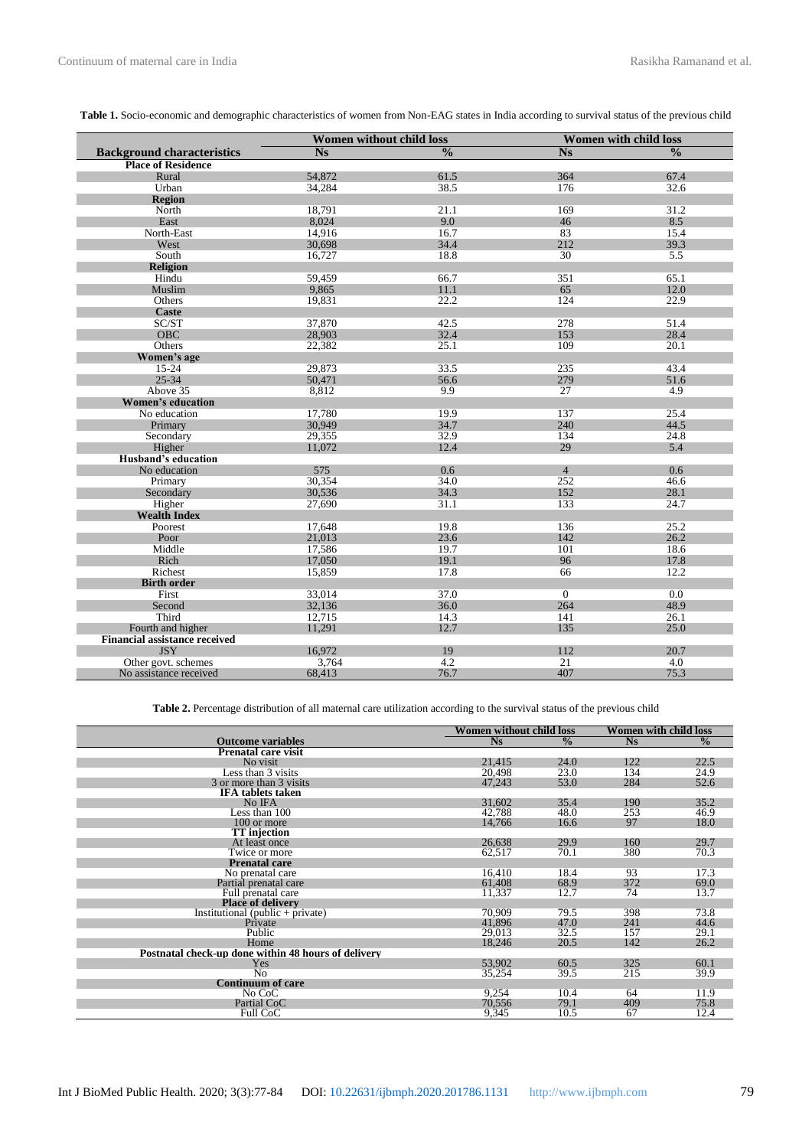|                                      | Women without child loss |                          | <b>Women with child loss</b> |               |  |
|--------------------------------------|--------------------------|--------------------------|------------------------------|---------------|--|
| <b>Background characteristics</b>    | <b>Ns</b>                | $\overline{\frac{0}{0}}$ | N <sub>S</sub>               | $\frac{0}{0}$ |  |
| <b>Place of Residence</b>            |                          |                          |                              |               |  |
| Rural                                | 54,872                   | 61.5                     | 364                          | 67.4          |  |
| Urban                                | 34,284                   | 38.5                     | 176                          | 32.6          |  |
| <b>Region</b>                        |                          |                          |                              |               |  |
| North                                | 18,791                   | 21.1                     | 169                          | 31.2          |  |
| East                                 | 8,024                    | 9.0                      | 46                           | 8.5           |  |
| North-East                           | 14,916                   | 16.7                     | 83                           | 15.4          |  |
| West                                 | 30,698                   | 34.4                     | 212                          | 39.3          |  |
| South                                | 16,727                   | 18.8                     | 30                           | 5.5           |  |
| <b>Religion</b>                      |                          |                          |                              |               |  |
| Hindu                                | 59.459                   | 66.7                     | 351                          | 65.1          |  |
| Muslim                               | 9.865                    | 11.1                     | 65                           | 12.0          |  |
| Others                               | 19,831                   | 22.2                     | 124                          | 22.9          |  |
| <b>Caste</b>                         |                          |                          |                              |               |  |
| SC/ST                                | 37,870                   | 42.5                     | 278                          | 51.4          |  |
| <b>OBC</b>                           | 28,903                   | 32.4                     | 153                          | 28.4          |  |
| Others                               | 22,382                   | 25.1                     | 109                          | 20.1          |  |
| Women's age                          |                          |                          |                              |               |  |
| $15 - 24$                            | 29,873                   | 33.5                     | 235                          | 43.4          |  |
| $25 - 34$                            | 50,471                   | 56.6                     | 279                          | 51.6          |  |
| Above 35                             | 8,812                    | 9.9                      | 27                           | 4.9           |  |
| <b>Women's education</b>             |                          |                          |                              |               |  |
| No education                         | 17,780                   | 19.9                     | 137                          | 25.4          |  |
| Primary                              | 30,949                   | 34.7                     | 240                          | 44.5          |  |
| Secondary                            | 29,355                   | 32.9                     | 134                          | 24.8          |  |
| Higher                               | 11,072                   | 12.4                     | 29                           | 5.4           |  |
| Husband's education                  |                          |                          |                              |               |  |
| No education                         | 575                      | 0.6                      | $\overline{4}$               | 0.6           |  |
| Primary                              | 30,354                   | 34.0                     | 252                          | 46.6          |  |
| Secondary                            | 30,536                   | 34.3                     | 152                          | 28.1          |  |
| Higher                               | 27,690                   | 31.1                     | 133                          | 24.7          |  |
| <b>Wealth Index</b>                  |                          |                          |                              |               |  |
| Poorest                              | 17,648                   | 19.8                     | 136                          | 25.2          |  |
| Poor                                 | 21,013                   | 23.6                     | 142                          | 26.2          |  |
| Middle                               | 17,586                   | 19.7                     | 101                          | 18.6          |  |
| Rich                                 | 17,050                   | 19.1                     | 96                           | 17.8          |  |
| Richest                              | 15,859                   | 17.8                     | 66                           | 12.2          |  |
| <b>Birth order</b>                   |                          |                          |                              |               |  |
| First                                | 33,014                   | 37.0                     | $\overline{0}$               | 0.0           |  |
| Second                               | 32,136                   | 36.0                     | 264                          | 48.9          |  |
| Third                                | 12,715                   | 14.3                     | 141                          | 26.1          |  |
| Fourth and higher                    | 11,291                   | 12.7                     | 135                          | 25.0          |  |
| <b>Financial assistance received</b> |                          |                          |                              |               |  |
| <b>JSY</b>                           | 16.972                   | 19                       | 112                          | 20.7          |  |
| Other govt. schemes                  | 3,764                    | 4.2                      | $\overline{21}$              | 4.0           |  |
| No assistance received               | 68,413                   | 76.7                     | 407                          | 75.3          |  |

**Table 2.** Percentage distribution of all maternal care utilization according to the survival status of the previous child

|                                                     | Women without child loss |               | <b>Women with child loss</b> |               |
|-----------------------------------------------------|--------------------------|---------------|------------------------------|---------------|
| <b>Outcome variables</b>                            | N <sub>S</sub>           | $\frac{0}{0}$ | <b>Ns</b>                    | $\frac{0}{0}$ |
| Prenatal care visit                                 |                          |               |                              |               |
| No visit                                            | 21,415                   | 24.0          | 122                          | 22.5          |
| Less than 3 visits                                  | 20,498                   | 23.0          | 134                          | 24.9          |
| 3 or more than 3 visits                             | 47,243                   | 53.0          | 284                          | 52.6          |
| <b>IFA</b> tablets taken                            |                          |               |                              |               |
| No IFA                                              | 31,602                   | 35.4          | 190                          | 35.2          |
| Less than $100$                                     | 42,788                   | 48.0          | 253                          | 46.9          |
| 100 or more                                         | 14,766                   | 16.6          | 97                           | 18.0          |
| <b>TT</b> injection                                 |                          |               |                              |               |
| At least once                                       | 26,638                   | 29.9          | 160                          | 29.7          |
| Twice or more                                       | 62,517                   | 70.1          | 380                          | 70.3          |
| <b>Prenatal care</b>                                |                          |               |                              |               |
| No prenatal care                                    | 16,410                   | 18.4          | 93                           | 17.3          |
| Partial prenatal care                               | 61,408                   | 68.9          | 372                          | 69.0          |
| Full prenatal care                                  | 11,337                   | 12.7          | 74                           | 13.7          |
| <b>Place of delivery</b>                            |                          |               |                              |               |
| Institutional (public + private)                    | 70.909                   | 79.5          | 398                          | 73.8          |
| Private                                             | 41,896                   | 47.0          | 241                          | 44.6          |
| Public                                              | 29,013                   | 32.5          | 157                          | 29.1          |
| Home                                                | 18,246                   | 20.5          | 142                          | 26.2          |
| Postnatal check-up done within 48 hours of delivery |                          |               |                              |               |
| Yes                                                 | 53,902                   | 60.5          | 325                          | 60.1          |
| No                                                  | 35,254                   | 39.5          | 215                          | 39.9          |
| <b>Continuum of care</b>                            |                          |               |                              |               |
| No CoC                                              | 9.254                    | 10.4          | 64                           | 11.9          |
| Partial CoC                                         | 70,556                   | 79.1          | 409                          | 75.8          |
| Full CoC                                            | 9,345                    | 10.5          | 67                           | 12.4          |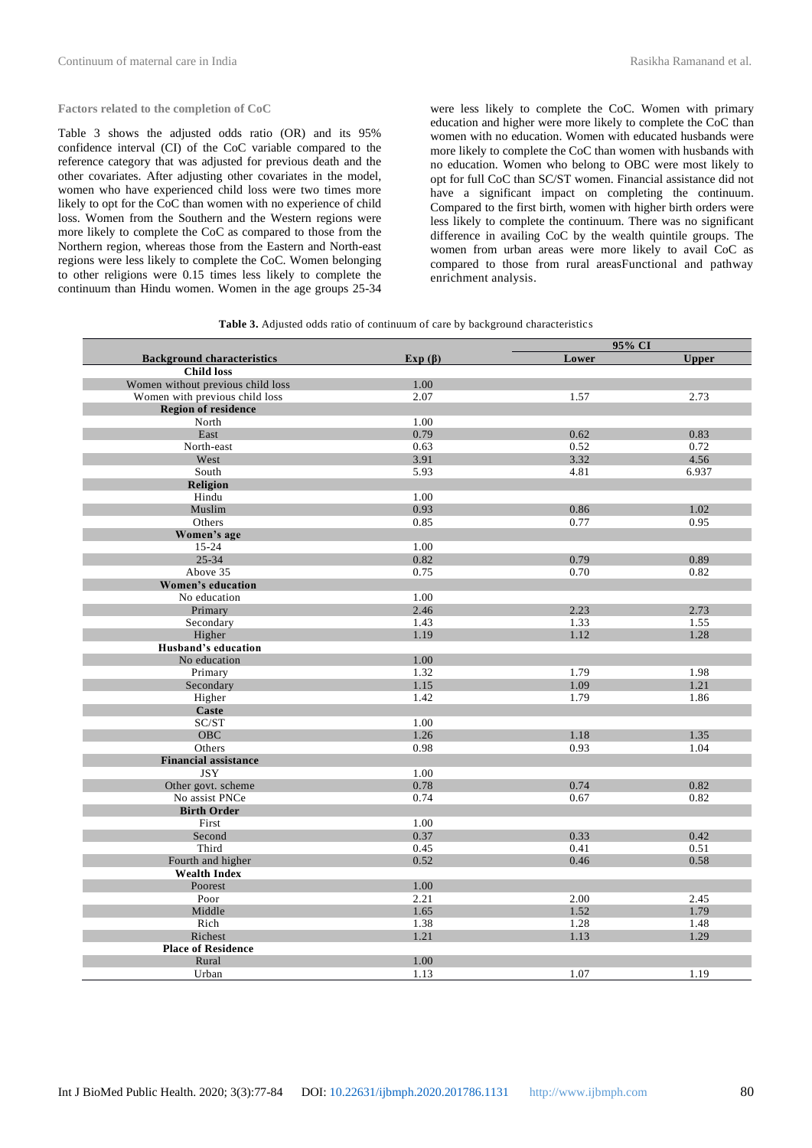**Factors related to the completion of CoC**

Table 3 shows the adjusted odds ratio (OR) and its 95% confidence interval (CI) of the CoC variable compared to the reference category that was adjusted for previous death and the other covariates. After adjusting other covariates in the model, women who have experienced child loss were two times more likely to opt for the CoC than women with no experience of child loss. Women from the Southern and the Western regions were more likely to complete the CoC as compared to those from the Northern region, whereas those from the Eastern and North-east regions were less likely to complete the CoC. Women belonging to other religions were 0.15 times less likely to complete the continuum than Hindu women. Women in the age groups 25-34

were less likely to complete the CoC. Women with primary education and higher were more likely to complete the CoC than women with no education. Women with educated husbands were more likely to complete the CoC than women with husbands with no education. Women who belong to OBC were most likely to opt for full CoC than SC/ST women. Financial assistance did not have a significant impact on completing the continuum. Compared to the first birth, women with higher birth orders were less likely to complete the continuum. There was no significant difference in availing CoC by the wealth quintile groups. The women from urban areas were more likely to avail CoC as compared to those from rural areasFunctional and pathway enrichment analysis.

|                                   |               | 95% CI |              |
|-----------------------------------|---------------|--------|--------------|
| <b>Background characteristics</b> | Exp $(\beta)$ | Lower  | <b>Upper</b> |
| <b>Child loss</b>                 |               |        |              |
| Women without previous child loss | 1.00          |        |              |
| Women with previous child loss    | 2.07          | 1.57   | 2.73         |
| <b>Region of residence</b>        |               |        |              |
| North                             | 1.00          |        |              |
| East                              | 0.79          | 0.62   | 0.83         |
| North-east                        | 0.63          | 0.52   | 0.72         |
| West                              | 3.91          | 3.32   | 4.56         |
| South                             | 5.93          | 4.81   | 6.937        |
| <b>Religion</b>                   |               |        |              |
| Hindu                             | 1.00          |        |              |
| Muslim                            | 0.93          | 0.86   | 1.02         |
| Others                            | 0.85          | 0.77   | 0.95         |
| Women's age                       |               |        |              |
| $15 - 24$                         | 1.00          |        |              |
| $25 - 34$                         | 0.82          | 0.79   | 0.89         |
| Above 35                          | 0.75          | 0.70   | 0.82         |
| Women's education                 |               |        |              |
| No education                      | 1.00          |        |              |
| Primary                           | 2.46          | 2.23   | 2.73         |
| Secondary                         | 1.43          | 1.33   | 1.55         |
| Higher                            | 1.19          | 1.12   | 1.28         |
| <b>Husband's education</b>        |               |        |              |
| No education                      | 1.00          |        |              |
| Primary                           | 1.32          | 1.79   | 1.98         |
| Secondary                         | 1.15          | 1.09   | 1.21         |
| Higher                            | 1.42          | 1.79   | 1.86         |
| Caste                             |               |        |              |
| SC/ST                             | 1.00          |        |              |
| OBC                               | 1.26          | 1.18   | 1.35         |
| Others                            | 0.98          | 0.93   | 1.04         |
| <b>Financial assistance</b>       |               |        |              |
| <b>JSY</b>                        | 1.00          |        |              |
| Other govt. scheme                | 0.78          | 0.74   | 0.82         |
| No assist PNCe                    | 0.74          | 0.67   | 0.82         |
| <b>Birth Order</b>                |               |        |              |
| First                             | 1.00          |        |              |
| Second                            | 0.37          | 0.33   | 0.42         |
| Third                             | 0.45          | 0.41   | 0.51         |
| Fourth and higher                 | 0.52          | 0.46   | 0.58         |
| <b>Wealth Index</b>               |               |        |              |
| Poorest                           | 1.00          |        |              |
| Poor                              | 2.21          | 2.00   | 2.45         |
| Middle                            | 1.65          | 1.52   | 1.79         |
| Rich                              | 1.38          | 1.28   | 1.48         |
| Richest                           | 1.21          | 1.13   | 1.29         |
| <b>Place of Residence</b>         |               |        |              |
| Rural                             | 1.00          |        |              |
| Urban                             | 1.13          | 1.07   | 1.19         |

**Table 3.** Adjusted odds ratio of continuum of care by background characteristics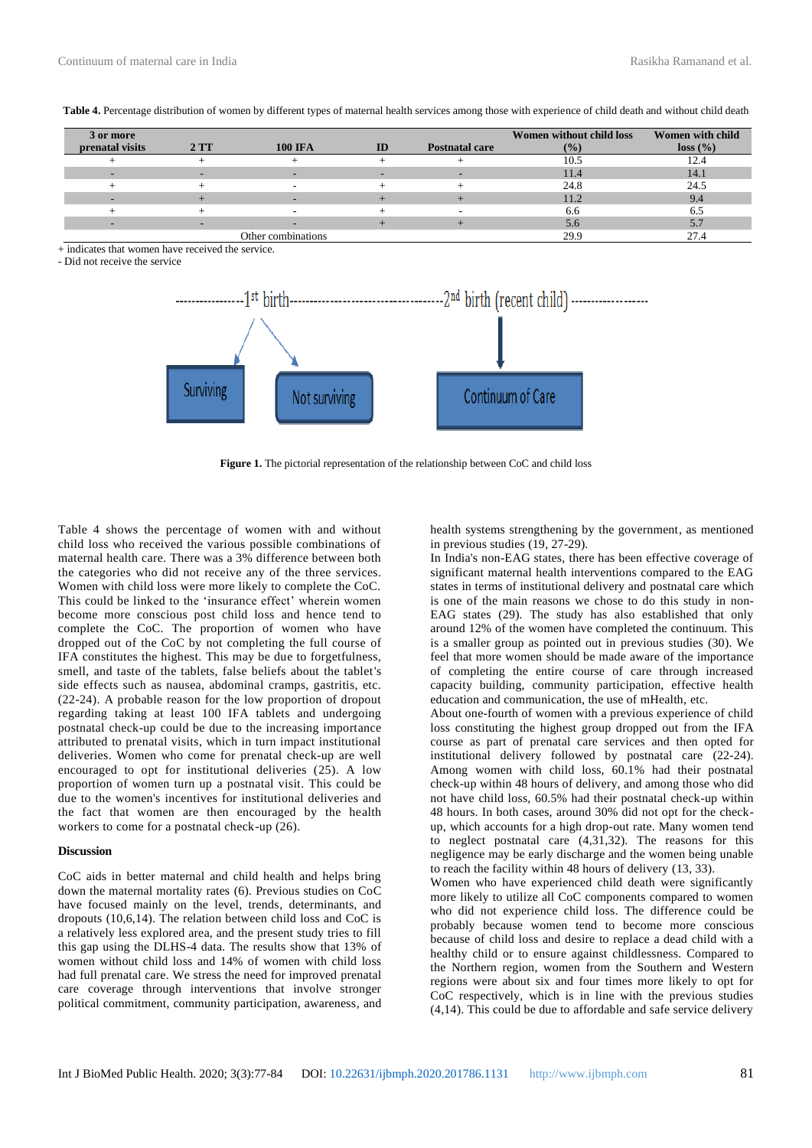| 3 or more       |     |                    |    |                       | Women without child loss | Women with child |
|-----------------|-----|--------------------|----|-----------------------|--------------------------|------------------|
| prenatal visits | 2TT | <b>100 IFA</b>     | ID | <b>Postnatal care</b> | (%)                      | loss (%)         |
|                 |     |                    |    |                       | 10.5                     | 12.4             |
|                 |     |                    |    |                       | 11.4                     | 14.1             |
|                 |     |                    |    |                       | 24.8                     | 24.5             |
|                 |     |                    |    |                       | 11.2                     | 9.4              |
|                 |     |                    |    |                       | 6.6                      | 6.5              |
|                 |     |                    |    |                       | 5.6                      | 5.1              |
|                 |     | Other combinations |    |                       | 29.9                     | 27.4             |

Table 4. Percentage distribution of women by different types of maternal health services among those with experience of child death and without child death

 $+$  indicates that women have received the service.

- Did not receive the service



**Figure 1.** The pictorial representation of the relationship between CoC and child loss

Table 4 shows the percentage of women with and without child loss who received the various possible combinations of maternal health care. There was a 3% difference between both the categories who did not receive any of the three services. Women with child loss were more likely to complete the CoC. This could be linked to the 'insurance effect' wherein women become more conscious post child loss and hence tend to complete the CoC. The proportion of women who have dropped out of the CoC by not completing the full course of IFA constitutes the highest. This may be due to forgetfulness, smell, and taste of the tablets, false beliefs about the tablet's side effects such as nausea, abdominal cramps, gastritis, etc. (22-24). A probable reason for the low proportion of dropout regarding taking at least 100 IFA tablets and undergoing postnatal check-up could be due to the increasing importance attributed to prenatal visits, which in turn impact institutional deliveries. Women who come for prenatal check-up are well encouraged to opt for institutional deliveries  $(25)$ . A low proportion of women turn up a postnatal visit. This could be due to the women's incentives for institutional deliveries and the fact that women are then encouraged by the health workers to come for a postnatal check-up (26).

#### **Discussion**

CoC aids in better maternal and child health and helps bring down the maternal mortality rates (6). Previous studies on CoC have focused mainly on the level, trends, determinants, and dropouts (10,6,14). The relation between child loss and CoC is a relatively less explored area, and the present study tries to fill this gap using the DLHS-4 data. The results show that 13% of women without child loss and 14% of women with child loss had full prenatal care. We stress the need for improved prenatal care coverage through interventions that involve stronger political commitment, community participation, awareness, and

health systems strengthening by the government, as mentioned in previous studies (19, 27-29).

In India's non-EAG states, there has been effective coverage of significant maternal health interventions compared to the EAG states in terms of institutional delivery and postnatal care which is one of the main reasons we chose to do this study in non-EAG states (29). The study has also established that only around 12% of the women have completed the continuum. This is a smaller group as pointed out in previous studies (30). We feel that more women should be made aware of the importance of completing the entire course of care through increased capacity building, community participation, effective health education and communication, the use of mHealth, etc.

About one-fourth of women with a previous experience of child loss constituting the highest group dropped out from the IFA course as part of prenatal care services and then opted for institutional delivery followed by postnatal care (22-24). Among women with child loss, 60.1% had their postnatal check-up within 48 hours of delivery, and among those who did not have child loss, 60.5% had their postnatal check-up within 48 hours. In both cases, around 30% did not opt for the checkup, which accounts for a high drop-out rate. Many women tend to neglect postnatal care  $(4,31,32)$ . The reasons for this negligence may be early discharge and the women being unable to reach the facility within 48 hours of delivery (13, 33).

Women who have experienced child death were significantly more likely to utilize all CoC components compared to women who did not experience child loss. The difference could be probably because women tend to become more conscious because of child loss and desire to replace a dead child with a healthy child or to ensure against childlessness. Compared to the Northern region, women from the Southern and Western regions were about six and four times more likely to opt for CoC respectively, which is in line with the previous studies (4,14). This could be due to affordable and safe service delivery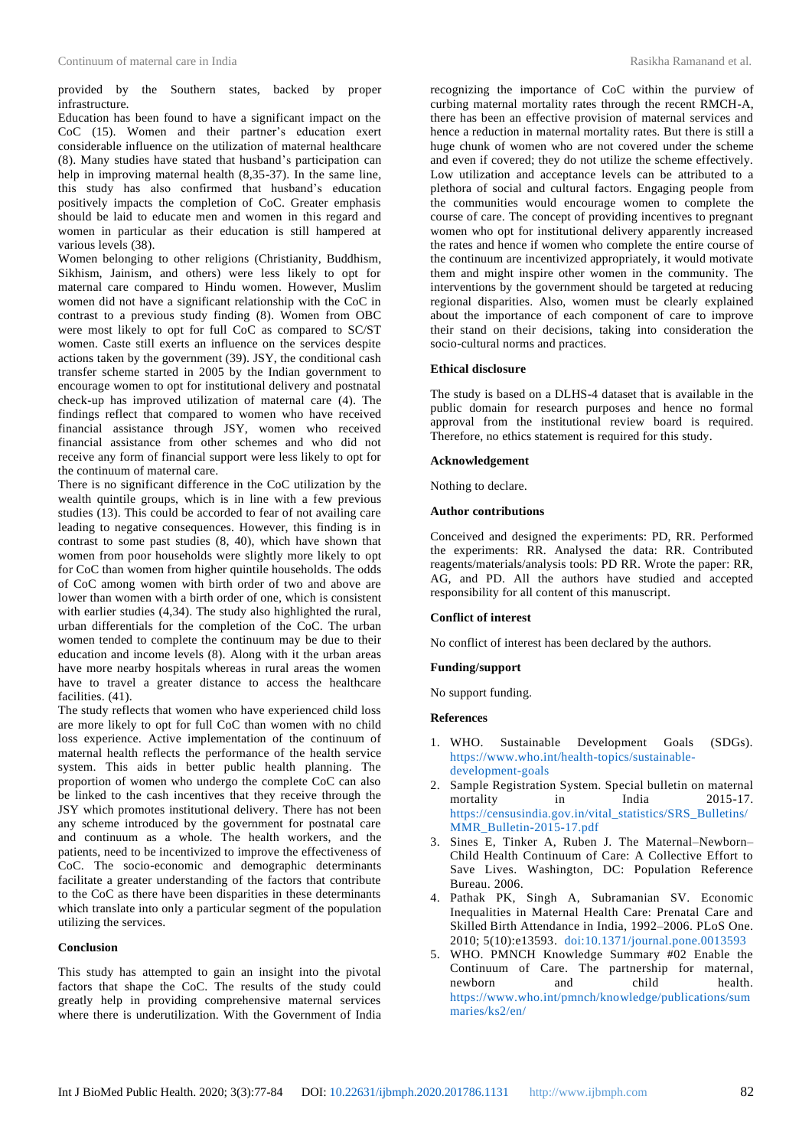provided by the Southern states, backed by proper infrastructure.

Education has been found to have a significant impact on the CoC (15). Women and their partner's education exert considerable influence on the utilization of maternal healthcare (8). Many studies have stated that husband's participation can help in improving maternal health (8,35-37). In the same line, this study has also confirmed that husband's education positively impacts the completion of CoC. Greater emphasis should be laid to educate men and women in this regard and women in particular as their education is still hampered at various levels (38).

Women belonging to other religions (Christianity, Buddhism, Sikhism, Jainism, and others) were less likely to opt for maternal care compared to Hindu women. However, Muslim women did not have a significant relationship with the CoC in contrast to a previous study finding (8). Women from OBC were most likely to opt for full CoC as compared to SC/ST women. Caste still exerts an influence on the services despite actions taken by the government (39). JSY, the conditional cash transfer scheme started in 2005 by the Indian government to encourage women to opt for institutional delivery and postnatal check-up has improved utilization of maternal care (4). The findings reflect that compared to women who have received financial assistance through JSY, women who received financial assistance from other schemes and who did not receive any form of financial support were less likely to opt for the continuum of maternal care.

There is no significant difference in the CoC utilization by the wealth quintile groups, which is in line with a few previous studies (13). This could be accorded to fear of not availing care leading to negative consequences. However, this finding is in contrast to some past studies (8, 40), which have shown that women from poor households were slightly more likely to opt for CoC than women from higher quintile households. The odds of CoC among women with birth order of two and above are lower than women with a birth order of one, which is consistent with earlier studies (4,34). The study also highlighted the rural, urban differentials for the completion of the CoC. The urban women tended to complete the continuum may be due to their education and income levels (8). Along with it the urban areas have more nearby hospitals whereas in rural areas the women have to travel a greater distance to access the healthcare facilities.  $(41)$ .

The study reflects that women who have experienced child loss are more likely to opt for full CoC than women with no child loss experience. Active implementation of the continuum of maternal health reflects the performance of the health service system. This aids in better public health planning. The proportion of women who undergo the complete CoC can also be linked to the cash incentives that they receive through the JSY which promotes institutional delivery. There has not been any scheme introduced by the government for postnatal care and continuum as a whole. The health workers, and the patients, need to be incentivized to improve the effectiveness of CoC. The socio-economic and demographic determinants facilitate a greater understanding of the factors that contribute to the CoC as there have been disparities in these determinants which translate into only a particular segment of the population utilizing the services.

### **Conclusion**

This study has attempted to gain an insight into the pivotal factors that shape the CoC. The results of the study could greatly help in providing comprehensive maternal services where there is underutilization. With the Government of India recognizing the importance of CoC within the purview of curbing maternal mortality rates through the recent RMCH-A, there has been an effective provision of maternal services and hence a reduction in maternal mortality rates. But there is still a huge chunk of women who are not covered under the scheme and even if covered; they do not utilize the scheme effectively. Low utilization and acceptance levels can be attributed to a plethora of social and cultural factors. Engaging people from the communities would encourage women to complete the course of care. The concept of providing incentives to pregnant women who opt for institutional delivery apparently increased the rates and hence if women who complete the entire course of the continuum are incentivized appropriately, it would motivate them and might inspire other women in the community. The interventions by the government should be targeted at reducing regional disparities. Also, women must be clearly explained about the importance of each component of care to improve their stand on their decisions, taking into consideration the socio-cultural norms and practices.

### **Ethical disclosure**

The study is based on a DLHS-4 dataset that is available in the public domain for research purposes and hence no formal approval from the institutional review board is required. Therefore, no ethics statement is required for this study.

### **Acknowledgement**

Nothing to declare.

#### **Author contributions**

Conceived and designed the experiments: PD, RR. Performed the experiments: RR. Analysed the data: RR. Contributed reagents/materials/analysis tools: PD RR. Wrote the paper: RR, AG, and PD. All the authors have studied and accepted responsibility for all content of this manuscript.

## **Conflict of interest**

No conflict of interest has been declared by the authors.

### **Funding/support**

No support funding.

### **References**

- 1. WHO. Sustainable Development Goals (SDGs). [https://www.who.int/health-topics/sustainable](https://www.who.int/health-topics/sustainable-development-goals)[development-goals](https://www.who.int/health-topics/sustainable-development-goals)
- 2. Sample Registration System. Special bulletin on maternal mortality in India 2015-17. [https://censusindia.gov.in/vital\\_statistics/SRS\\_Bulletins/](https://censusindia.gov.in/vital_statistics/SRS_Bulletins/MMR_Bulletin-2015-17.pdf) [MMR\\_Bulletin-2015-17.pdf](https://censusindia.gov.in/vital_statistics/SRS_Bulletins/MMR_Bulletin-2015-17.pdf)
- 3. Sines E, Tinker A, Ruben J. The Maternal–Newborn– Child Health Continuum of Care: A Collective Effort to Save Lives. Washington, DC: Population Reference Bureau. 2006.
- 4. Pathak PK, Singh A, Subramanian SV. Economic Inequalities in Maternal Health Care: Prenatal Care and Skilled Birth Attendance in India, 1992–2006. PLoS One. 2010; 5(10):e13593. [doi:10.1371/journal.pone.0013593](https://journals.plos.org/plosone/article?id=10.1371/journal.pone.0013593)
- 5. WHO. PMNCH Knowledge Summary #02 Enable the Continuum of Care. The partnership for maternal, newborn and child health. [https://www.who.int/pmnch/knowledge/publications/sum](https://www.who.int/pmnch/knowledge/publications/summaries/ks2/en/) [maries/ks2/en/](https://www.who.int/pmnch/knowledge/publications/summaries/ks2/en/)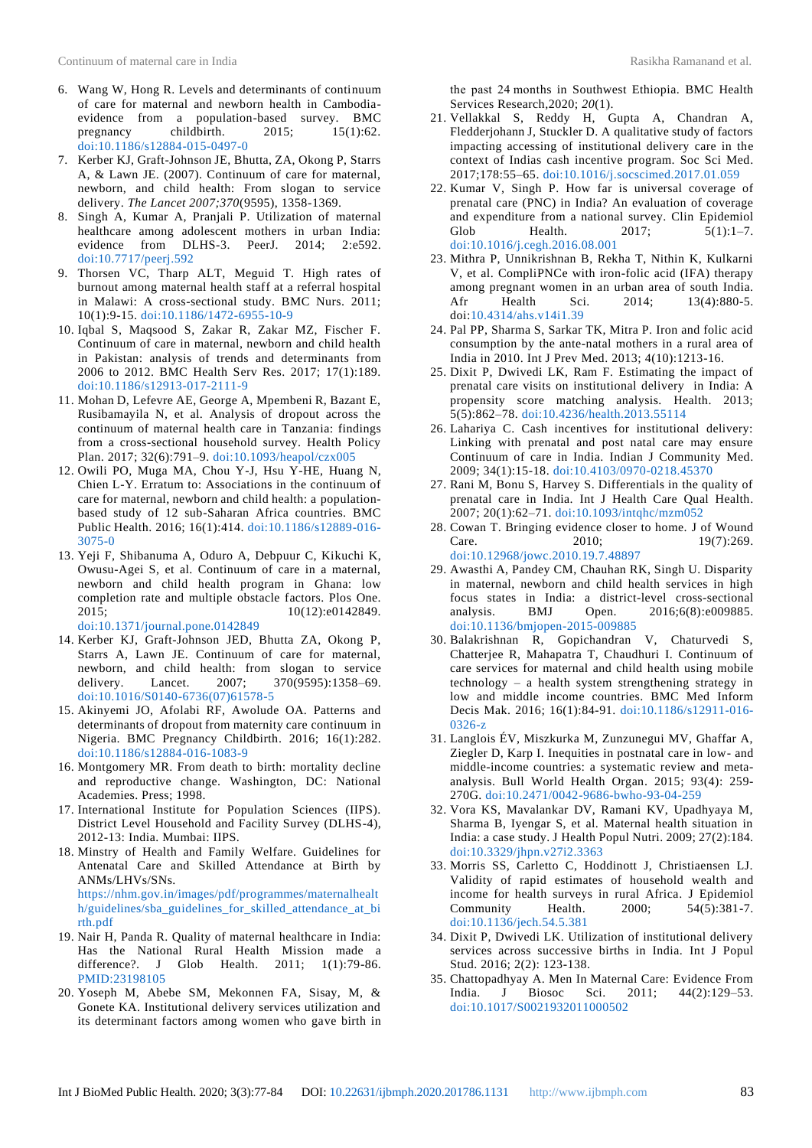- 6. Wang W, Hong R. Levels and determinants of continuum of care for maternal and newborn health in Cambodiaevidence from a population-based survey. BMC pregnancy childbirth. 2015; 15(1):62. [doi:10.1186/s12884-015-0497-0](https://link.springer.com/article/10.1186/s12884-015-0497-0#citeas)
- 7. Kerber KJ, Graft-Johnson JE, Bhutta, ZA, Okong P, Starrs A, & Lawn JE. (2007). Continuum of care for maternal, newborn, and child health: From slogan to service delivery. *The Lancet 2007;370*(9595), 1358-1369.
- 8. Singh A, Kumar A, Pranjali P. Utilization of maternal healthcare among adolescent mothers in urban India: evidence from DLHS-3. PeerJ. 2014; 2:e592. [doi:10.7717/peerj.592](https://peerj.com/articles/592/)
- 9. Thorsen VC, Tharp ALT, Meguid T. High rates of burnout among maternal health staff at a referral hospital in Malawi: A cross-sectional study. BMC Nurs. 2011; 10(1):9-15. [doi:10.1186/1472-6955-10-9](https://link.springer.com/article/10.1186/1472-6955-10-9#citeas)
- 10. Iqbal S, Maqsood S, Zakar R, Zakar MZ, Fischer F. Continuum of care in maternal, newborn and child health in Pakistan: analysis of trends and determinants from 2006 to 2012. BMC Health Serv Res. 2017; 17(1):189. [doi:10.1186/s12913-017-2111-9](https://link.springer.com/article/10.1186/s12913-017-2111-9#citeas)
- 11. Mohan D, Lefevre AE, George A, Mpembeni R, Bazant E, Rusibamayila N, et al. Analysis of dropout across the continuum of maternal health care in Tanzania: findings from a cross-sectional household survey. Health Policy Plan. 2017; 32(6):791–9. [doi:10.1093/heapol/czx005](https://academic.oup.com/heapol/article/32/6/791/3073704)
- 12. Owili PO, Muga MA, Chou Y-J, Hsu Y-HE, Huang N, Chien L-Y. Erratum to: Associations in the continuum of care for maternal, newborn and child health: a populationbased study of 12 sub-Saharan Africa countries. BMC Public Health. 2016; 16(1):414. [doi:10.1186/s12889-016-](https://link.springer.com/article/10.1186/s12889-016-3075-0#citeas) [3075-0](https://link.springer.com/article/10.1186/s12889-016-3075-0#citeas)
- 13. Yeji F, Shibanuma A, Oduro A, Debpuur C, Kikuchi K, Owusu-Agei S, et al. Continuum of care in a maternal, newborn and child health program in Ghana: low completion rate and multiple obstacle factors. Plos One. 2015; 10(12):e0142849. [doi:10.1371/journal.pone.0142849](https://doi.org/10.1371/journal.pone.0142849)
- 14. Kerber KJ, Graft-Johnson JED, Bhutta ZA, Okong P, Starrs A, Lawn JE. Continuum of care for maternal, newborn, and child health: from slogan to service delivery. Lancet. 2007; 370(9595):1358-69. [doi:10.1016/S0140-6736\(07\)61578-5](https://www.sciencedirect.com/science/article/abs/pii/S0140673607615785)
- 15. Akinyemi JO, Afolabi RF, Awolude OA. Patterns and determinants of dropout from maternity care continuum in Nigeria. BMC Pregnancy Childbirth. 2016; 16(1):282. [doi:10.1186/s12884-016-1083-9](https://link.springer.com/article/10.1186/s12884-016-1083-9#citeas)
- 16. Montgomery MR. From death to birth: mortality decline and reproductive change. Washington, DC: National Academies. Press; 1998.
- 17. International Institute for Population Sciences (IIPS). District Level Household and Facility Survey (DLHS-4), 2012-13: India. Mumbai: IIPS.
- 18. Minstry of Health and Family Welfare. Guidelines for Antenatal Care and Skilled Attendance at Birth by ANMs/LHVs/SNs. [https://nhm.gov.in/images/pdf/programmes/maternalhealt](https://nhm.gov.in/images/pdf/programmes/maternalhealth/guidelines/sba_guidelines_for_skilled_attendance_at_birth.pdf) [h/guidelines/sba\\_guidelines\\_for\\_skilled\\_attendance\\_at\\_bi](https://nhm.gov.in/images/pdf/programmes/maternalhealth/guidelines/sba_guidelines_for_skilled_attendance_at_birth.pdf) [rth.pdf](https://nhm.gov.in/images/pdf/programmes/maternalhealth/guidelines/sba_guidelines_for_skilled_attendance_at_birth.pdf)
- 19. Nair H, Panda R. Quality of maternal healthcare in India: Has the National Rural Health Mission made a difference?. J Glob Health. 2011; 1(1):79-86. [PMID:23198105](https://www.ncbi.nlm.nih.gov/pmc/articles/PMC3484741/)
- 20. Yoseph M, Abebe SM, Mekonnen FA, Sisay, M, & Gonete KA. Institutional delivery services utilization and its determinant factors among women who gave birth in

the past 24 months in Southwest Ethiopia. BMC Health Services Research*,*2020; *20*(1).

- 21. Vellakkal S, Reddy H, Gupta A, Chandran A, Fledderjohann J, Stuckler D. A qualitative study of factors impacting accessing of institutional delivery care in the context of Indias cash incentive program. Soc Sci Med. 2017;178:55–65. [doi:10.1016/j.socscimed.2017.01.059](https://www.sciencedirect.com/science/article/pii/S0277953617300734)
- 22. Kumar V, Singh P. How far is universal coverage of prenatal care (PNC) in India? An evaluation of coverage and expenditure from a national survey. Clin Epidemiol Glob Health. 2017: 5(1):1–7. [doi:10.1016/j.cegh.2016.08.001](https://www.sciencedirect.com/science/article/abs/pii/S2213398416300343)
- 23. Mithra P, Unnikrishnan B, Rekha T, Nithin K, Kulkarni V, et al. CompliPNCe with iron-folic acid (IFA) therapy among pregnant women in an urban area of south India. Afr Health Sci. 2014; 13(4):880-5. doi[:10.4314/ahs.v14i1.39](https://doi.org/10.4314/ahs.v14i1.39)
- 24. Pal PP, Sharma S, Sarkar TK, Mitra P. Iron and folic acid consumption by the ante-natal mothers in a rural area of India in 2010. Int J Prev Med. 2013; 4(10):1213-16.
- 25. Dixit P, Dwivedi LK, Ram F. Estimating the impact of prenatal care visits on institutional delivery in India: A propensity score matching analysis. Health. 2013; 5(5):862–78. [doi:10.4236/health.2013.55114](https://www.scirp.org/html/7-8202040_31925.htm)
- 26. Lahariya C. Cash incentives for institutional delivery: Linking with prenatal and post natal care may ensure Continuum of care in India. Indian J Community Med. 2009; 34(1):15-18. [doi:10.4103/0970-0218.45370](https://www.ncbi.nlm.nih.gov/pmc/articles/PMC2763661/)
- 27. Rani M, Bonu S, Harvey S. Differentials in the quality of prenatal care in India. Int J Health Care Qual Health. 2007; 20(1):62–71. [doi:10.1093/intqhc/mzm052](https://academic.oup.com/intqhc/article/20/1/62/1786297)
- 28. Cowan T. Bringing evidence closer to home. J of Wound Care. 2010; 19(7):269. [doi:10.12968/jowc.2010.19.7.48897](https://www.magonlinelibrary.com/doi/abs/10.12968/jowc.2010.19.7.48897)
- 29. Awasthi A, Pandey CM, Chauhan RK, Singh U. Disparity in maternal, newborn and child health services in high focus states in India: a district-level cross-sectional analysis. BMJ Open. 2016;6(8):e009885. [doi:10.1136/bmjopen-2015-009885](https://bmjopen.bmj.com/content/6/8/e009885?cpetoc=&utm_source=trend_md&utm_medium=cpc&utm_campaign=jnnp&utm_content=trendmd4)
- 30. Balakrishnan R, Gopichandran V, Chaturvedi S, Chatterjee R, Mahapatra T, Chaudhuri I. Continuum of care services for maternal and child health using mobile technology – a health system strengthening strategy in low and middle income countries. BMC Med Inform Decis Mak. 2016; 16(1):84-91. [doi:10.1186/s12911-016-](https://link.springer.com/article/10.1186/s12911-016-0326-z#citeas) [0326-z](https://link.springer.com/article/10.1186/s12911-016-0326-z#citeas)
- 31. Langlois ÉV, Miszkurka M, Zunzunegui MV, Ghaffar A, Ziegler D, Karp I. Inequities in postnatal care in low- and middle-income countries: a systematic review and metaanalysis. Bull World Health Organ. 2015; 93(4): 259- 270G. [doi:10.2471/0042-9686-bwho-93-04-259](https://www.scielosp.org/article/bwho/2015.v93n4/259-270G/)
- 32. Vora KS, Mavalankar DV, Ramani KV, Upadhyaya M, Sharma B, Iyengar S, et al. Maternal health situation in India: a case study. J Health Popul Nutri. 2009; 27(2):184. [doi:10.3329/jhpn.v27i2.3363](https://www.ncbi.nlm.nih.gov/pmc/articles/PMC2761784/)
- 33. Morris SS, Carletto C, Hoddinott J, Christiaensen LJ. Validity of rapid estimates of household wealth and income for health surveys in rural Africa. J Epidemiol<br>Community Health. 2000: 54(5):381-7. Community Health. 2000; 54(5):381-7. [doi:10.1136/jech.54.5.381](https://jech.bmj.com/content/54/5/381.short)
- 34. Dixit P, Dwivedi LK. Utilization of institutional delivery services across successive births in India. Int J Popul Stud. 2016; 2(2): 123-138.
- 35. Chattopadhyay A. Men In Maternal Care: Evidence From India. J Biosoc Sci. 2011; 44(2):129–53. [doi:10.1017/S0021932011000502](https://www.researchgate.net/profile/Aparajita_Chattopadhyay/publication/51720886_Men_in_maternal_care_Evidence_from_India/links/00b7d5215a4086d7d7000000/Men-in-maternal-care-Evidence-from-India.pdf)